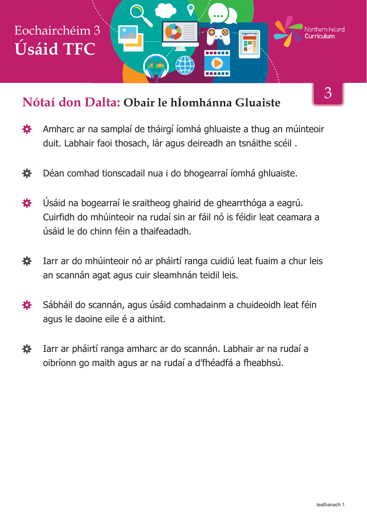

#### **Nótaí don Dalta: Obair le hÍomhánna Gluaiste**

- Amharc ar na samplaí de tháirgí íomhá ghluaiste a thug an múinteoir 娄 duit. Labhair faoi thosach, lár agus deireadh an tsnáithe scéil .
- 養 Déan comhad tionscadail nua i do bhogearraí íomhá ghluaiste.
- Úsáid na bogearraí le sraitheog ghairid de ghearrthóga a eagrú. 娄 Cuirfidh do mhúinteoir na rudaí sin ar fáil nó is féidir leat ceamara a úsáid le do chinn féin a thaifeadadh.
- Iarr ar do mhúinteoir nó ar pháirtí ranga cuidiú leat fuaim a chur leis 娄 an scannán agat agus cuir sleamhnán teidil leis.
- Sábháil do scannán, agus úsáid comhadainm a chuideoidh leat féin 瓷 agus le daoine eile é a aithint.
- 烧 Iarr ar pháirtí ranga amharc ar do scannán. Labhair ar na rudaí a oibríonn go maith agus ar na rudaí a d'fhéadfá a fheabhsú.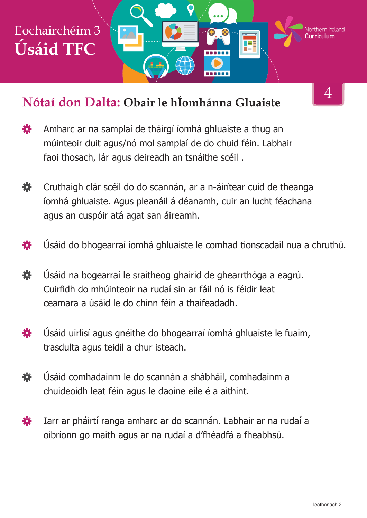

#### **Nótaí don Dalta: Obair le hÍomhánna Gluaiste**

- 寮 Amharc ar na samplaí de tháirgí íomhá ghluaiste a thug an múinteoir duit agus/nó mol samplaí de do chuid féin. Labhair faoi thosach, lár agus deireadh an tsnáithe scéil .
- 烧。 Cruthaigh clár scéil do do scannán, ar a n-áirítear cuid de theanga íomhá ghluaiste. Agus pleanáil á déanamh, cuir an lucht féachana agus an cuspóir atá agat san áireamh.
- 養 Úsáid do bhogearraí íomhá ghluaiste le comhad tionscadail nua a chruthú.
- Úsáid na bogearraí le sraitheog ghairid de ghearrthóga a eagrú. 娄 Cuirfidh do mhúinteoir na rudaí sin ar fáil nó is féidir leat ceamara a úsáid le do chinn féin a thaifeadadh.
- Úsáid uirlisí agus gnéithe do bhogearraí íomhá ghluaiste le fuaim, 娄 trasdulta agus teidil a chur isteach.
- Úsáid comhadainm le do scannán a shábháil, comhadainm a 養 chuideoidh leat féin agus le daoine eile é a aithint.
- Iarr ar pháirtí ranga amharc ar do scannán. Labhair ar na rudaí a 養 oibríonn go maith agus ar na rudaí a d'fhéadfá a fheabhsú.

<sup>4</sup>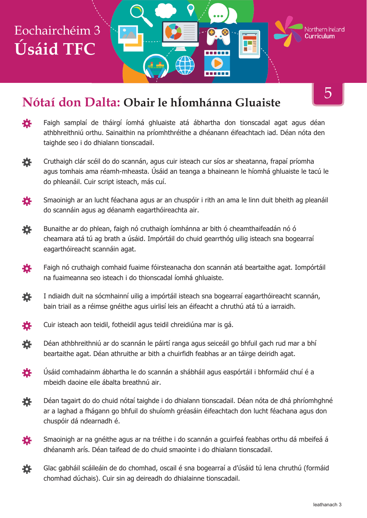# Eochairchéim 3 **Úsáid TFC**

### **Nótaí don Dalta: Obair le hÍomhánna Gluaiste**

- 苍 Faigh samplaí de tháirgí íomhá ghluaiste atá ábhartha don tionscadal agat agus déan athbhreithniú orthu. Sainaithin na príomhthréithe a dhéanann éifeachtach iad. Déan nóta den taighde seo i do dhialann tionscadail.
- Cruthaigh clár scéil do do scannán, agus cuir isteach cur síos ar sheatanna, frapaí príomha 娄 agus tomhais ama réamh-mheasta. Úsáid an teanga a bhaineann le híomhá ghluaiste le tacú le do phleanáil. Cuir script isteach, más cuí.
- 養 Smaoinigh ar an lucht féachana agus ar an chuspóir i rith an ama le linn duit bheith ag pleanáil do scannáin agus ag déanamh eagarthóireachta air.
- 烧 Bunaithe ar do phlean, faigh nó cruthaigh íomhánna ar bith ó cheamthaifeadán nó ó cheamara atá tú ag brath a úsáid. Impórtáil do chuid gearrthóg uilig isteach sna bogearraí eagarthóireacht scannáin agat.
- 養 Faigh nó cruthaigh comhaid fuaime fóirsteanacha don scannán atá beartaithe agat. Iompórtáil na fuaimeanna seo isteach i do thionscadal íomhá ghluaiste.
- 養 I ndiaidh duit na sócmhainní uilig a impórtáil isteach sna bogearraí eagarthóireacht scannán, bain triail as a réimse gnéithe agus uirlisí leis an éifeacht a chruthú atá tú a iarraidh.
- Cuir isteach aon teidil, fotheidil agus teidil chreidiúna mar is gá. 娄
- 養 Déan athbhreithniú ar do scannán le páirtí ranga agus seiceáil go bhfuil gach rud mar a bhí beartaithe agat. Déan athruithe ar bith a chuirfidh feabhas ar an táirge deiridh agat.
- 娄 Úsáid comhadainm ábhartha le do scannán a shábháil agus easpórtáil i bhformáid chuí é a mbeidh daoine eile ábalta breathnú air.
- Déan tagairt do do chuid nótaí taighde i do dhialann tionscadail. Déan nóta de dhá phríomhghné 養 ar a laghad a fhágann go bhfuil do shuíomh gréasáin éifeachtach don lucht féachana agus don chuspóir dá ndearnadh é.
- 各 Smaoinigh ar na gnéithe agus ar na tréithe i do scannán a gcuirfeá feabhas orthu dá mbeifeá á dhéanamh arís. Déan taifead de do chuid smaointe i do dhialann tionscadail.
- Glac gabháil scáileáin de do chomhad, oscail é sna bogearraí a d'úsáid tú lena chruthú (formáid 養 chomhad dúchais). Cuir sin ag deireadh do dhialainne tionscadail.

5

Northern Ireland